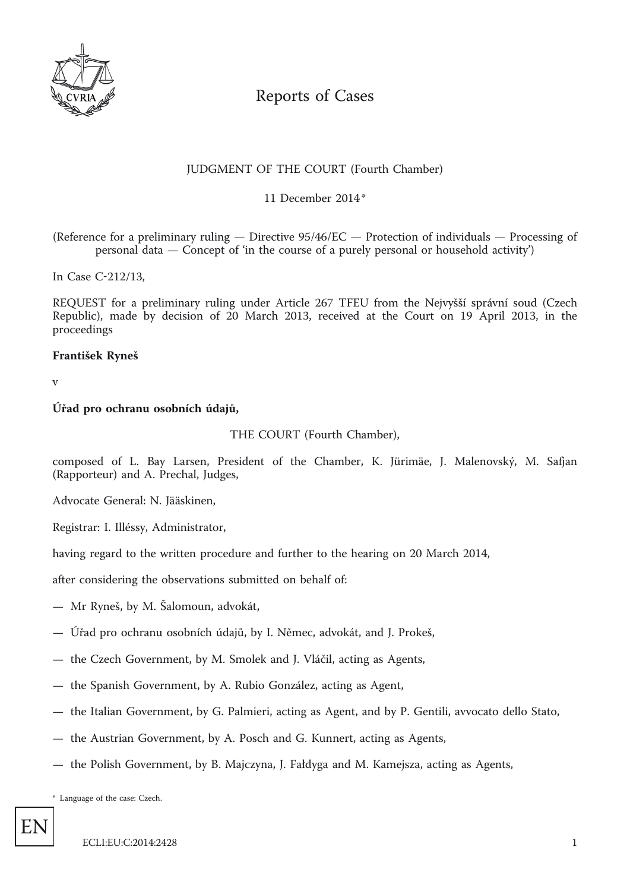

# Reports of Cases

# JUDGMENT OF THE COURT (Fourth Chamber)

\* 11 December 2014

(Reference for a preliminary ruling — Directive 95/46/EC — Protection of individuals — Processing of personal data — Concept of 'in the course of a purely personal or household activity')

In Case C-212/13,

REQUEST for a preliminary ruling under Article 267 TFEU from the Nejvyšší správní soud (Czech Republic), made by decision of 20 March 2013, received at the Court on 19 April 2013, in the proceedings

# **František Ryneš**

v

# **Úřad pro ochranu osobních údajů,**

THE COURT (Fourth Chamber),

composed of L. Bay Larsen, President of the Chamber, K. Jürimäe, J. Malenovský, M. Safjan (Rapporteur) and A. Prechal, Judges,

Advocate General: N. Jääskinen,

Registrar: I. Illéssy, Administrator,

having regard to the written procedure and further to the hearing on 20 March 2014,

after considering the observations submitted on behalf of:

- Mr Ryneš, by M. Šalomoun, advokát,
- Úřad pro ochranu osobních údajů, by I. Němec, advokát, and J. Prokeš,
- the Czech Government, by M. Smolek and J. Vláčil, acting as Agents,
- the Spanish Government, by A. Rubio González, acting as Agent,
- the Italian Government, by G. Palmieri, acting as Agent, and by P. Gentili, avvocato dello Stato,
- the Austrian Government, by A. Posch and G. Kunnert, acting as Agents,
- the Polish Government, by B. Majczyna, J. Fałdyga and M. Kamejsza, acting as Agents,

\* Language of the case: Czech.

EN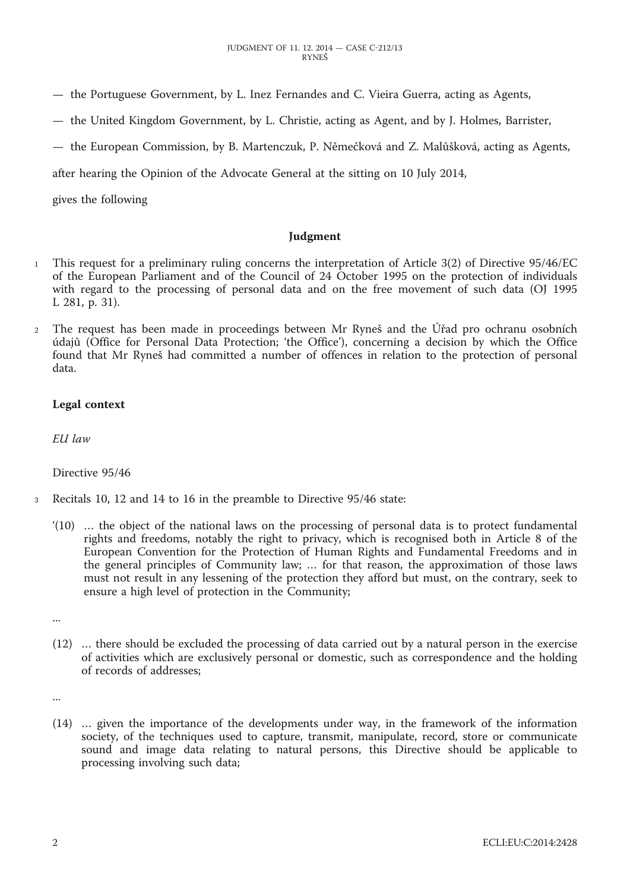- the Portuguese Government, by L. Inez Fernandes and C. Vieira Guerra, acting as Agents,
- the United Kingdom Government, by L. Christie, acting as Agent, and by J. Holmes, Barrister,
- the European Commission, by B. Martenczuk, P. Němečková and Z. Malůšková, acting as Agents,

after hearing the Opinion of the Advocate General at the sitting on 10 July 2014,

gives the following

#### **Judgment**

- 1 This request for a preliminary ruling concerns the interpretation of Article 3(2) of Directive 95/46/EC of the European Parliament and of the Council of 24 October 1995 on the protection of individuals with regard to the processing of personal data and on the free movement of such data (OJ 1995 L 281, p. 31).
- 2 The request has been made in proceedings between Mr Ryneš and the Úřad pro ochranu osobních údajů (Office for Personal Data Protection; 'the Office'), concerning a decision by which the Office found that Mr Ryneš had committed a number of offences in relation to the protection of personal data.

# **Legal context**

*EU law*

Directive 95/46

- 3 Recitals 10, 12 and 14 to 16 in the preamble to Directive 95/46 state:
	- '(10) … the object of the national laws on the processing of personal data is to protect fundamental rights and freedoms, notably the right to privacy, which is recognised both in Article 8 of the European Convention for the Protection of Human Rights and Fundamental Freedoms and in the general principles of Community law; … for that reason, the approximation of those laws must not result in any lessening of the protection they afford but must, on the contrary, seek to ensure a high level of protection in the Community;

...

(12) … there should be excluded the processing of data carried out by a natural person in the exercise of activities which are exclusively personal or domestic, such as correspondence and the holding of records of addresses;

...

(14) … given the importance of the developments under way, in the framework of the information society, of the techniques used to capture, transmit, manipulate, record, store or communicate sound and image data relating to natural persons, this Directive should be applicable to processing involving such data;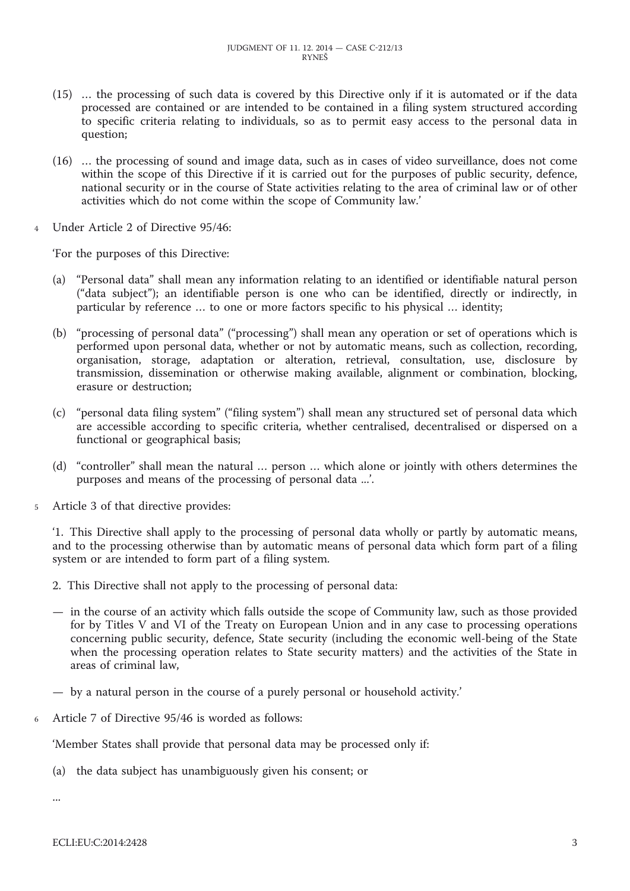- (15) … the processing of such data is covered by this Directive only if it is automated or if the data processed are contained or are intended to be contained in a filing system structured according to specific criteria relating to individuals, so as to permit easy access to the personal data in question;
- (16) … the processing of sound and image data, such as in cases of video surveillance, does not come within the scope of this Directive if it is carried out for the purposes of public security, defence, national security or in the course of State activities relating to the area of criminal law or of other activities which do not come within the scope of Community law.'
- 4 Under Article 2 of Directive 95/46:

'For the purposes of this Directive:

- (a) "Personal data" shall mean any information relating to an identified or identifiable natural person ("data subject"); an identifiable person is one who can be identified, directly or indirectly, in particular by reference … to one or more factors specific to his physical … identity;
- (b) "processing of personal data" ("processing") shall mean any operation or set of operations which is performed upon personal data, whether or not by automatic means, such as collection, recording, organisation, storage, adaptation or alteration, retrieval, consultation, use, disclosure by transmission, dissemination or otherwise making available, alignment or combination, blocking, erasure or destruction;
- (c) "personal data filing system" ("filing system") shall mean any structured set of personal data which are accessible according to specific criteria, whether centralised, decentralised or dispersed on a functional or geographical basis;
- (d) "controller" shall mean the natural … person … which alone or jointly with others determines the purposes and means of the processing of personal data ...'.
- 5 Article 3 of that directive provides:

'1. This Directive shall apply to the processing of personal data wholly or partly by automatic means, and to the processing otherwise than by automatic means of personal data which form part of a filing system or are intended to form part of a filing system.

- 2. This Directive shall not apply to the processing of personal data:
- in the course of an activity which falls outside the scope of Community law, such as those provided for by Titles V and VI of the Treaty on European Union and in any case to processing operations concerning public security, defence, State security (including the economic well-being of the State when the processing operation relates to State security matters) and the activities of the State in areas of criminal law,
- by a natural person in the course of a purely personal or household activity.'
- 6 Article 7 of Directive 95/46 is worded as follows:

'Member States shall provide that personal data may be processed only if:

(a) the data subject has unambiguously given his consent; or

...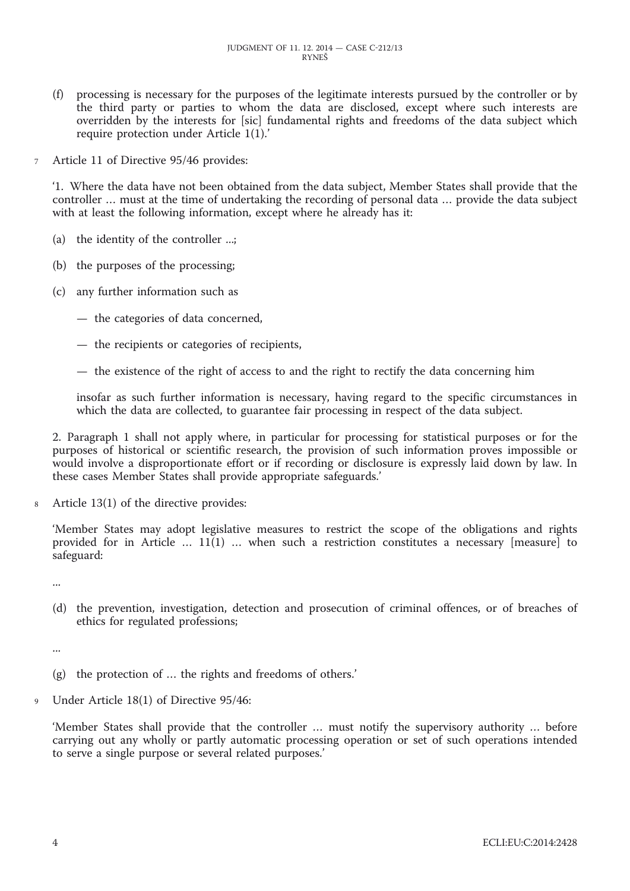- (f) processing is necessary for the purposes of the legitimate interests pursued by the controller or by the third party or parties to whom the data are disclosed, except where such interests are overridden by the interests for [sic] fundamental rights and freedoms of the data subject which require protection under Article 1(1).'
- 7 Article 11 of Directive 95/46 provides:

'1. Where the data have not been obtained from the data subject, Member States shall provide that the controller … must at the time of undertaking the recording of personal data … provide the data subject with at least the following information, except where he already has it:

- (a) the identity of the controller ...;
- (b) the purposes of the processing;
- (c) any further information such as
	- the categories of data concerned,
	- the recipients or categories of recipients,
	- the existence of the right of access to and the right to rectify the data concerning him

insofar as such further information is necessary, having regard to the specific circumstances in which the data are collected, to guarantee fair processing in respect of the data subject.

2. Paragraph 1 shall not apply where, in particular for processing for statistical purposes or for the purposes of historical or scientific research, the provision of such information proves impossible or would involve a disproportionate effort or if recording or disclosure is expressly laid down by law. In these cases Member States shall provide appropriate safeguards.'

8 Article 13(1) of the directive provides:

'Member States may adopt legislative measures to restrict the scope of the obligations and rights provided for in Article … 11(1) … when such a restriction constitutes a necessary [measure] to safeguard:

...

(d) the prevention, investigation, detection and prosecution of criminal offences, or of breaches of ethics for regulated professions;

...

- (g) the protection of … the rights and freedoms of others.'
- 9 Under Article 18(1) of Directive 95/46:

'Member States shall provide that the controller … must notify the supervisory authority … before carrying out any wholly or partly automatic processing operation or set of such operations intended to serve a single purpose or several related purposes.'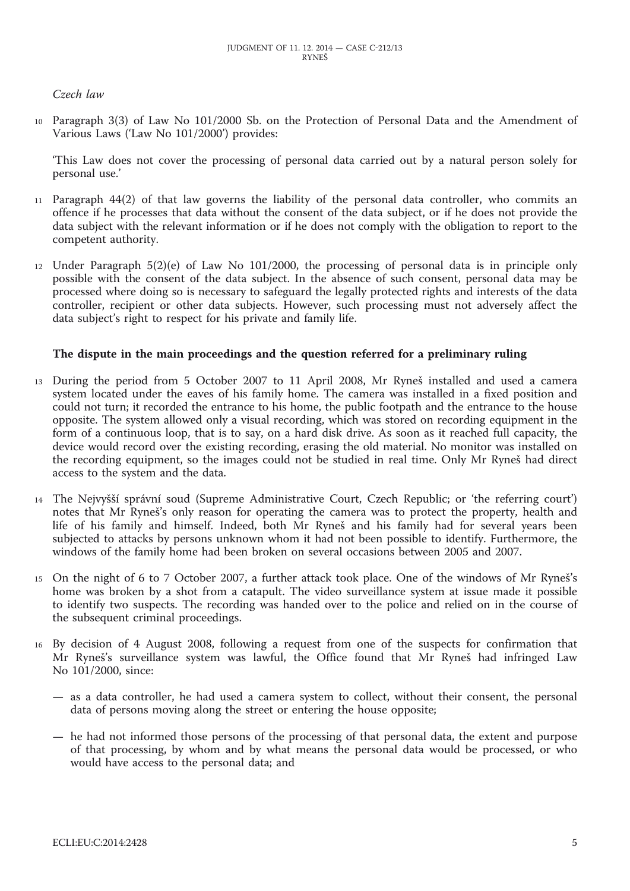*Czech law*

10 Paragraph 3(3) of Law No 101/2000 Sb. on the Protection of Personal Data and the Amendment of Various Laws ('Law No 101/2000') provides:

'This Law does not cover the processing of personal data carried out by a natural person solely for personal use.'

- 11 Paragraph 44(2) of that law governs the liability of the personal data controller, who commits an offence if he processes that data without the consent of the data subject, or if he does not provide the data subject with the relevant information or if he does not comply with the obligation to report to the competent authority.
- 12 Under Paragraph 5(2)(e) of Law No 101/2000, the processing of personal data is in principle only possible with the consent of the data subject. In the absence of such consent, personal data may be processed where doing so is necessary to safeguard the legally protected rights and interests of the data controller, recipient or other data subjects. However, such processing must not adversely affect the data subject's right to respect for his private and family life.

# **The dispute in the main proceedings and the question referred for a preliminary ruling**

- 13 During the period from 5 October 2007 to 11 April 2008, Mr Ryneš installed and used a camera system located under the eaves of his family home. The camera was installed in a fixed position and could not turn; it recorded the entrance to his home, the public footpath and the entrance to the house opposite. The system allowed only a visual recording, which was stored on recording equipment in the form of a continuous loop, that is to say, on a hard disk drive. As soon as it reached full capacity, the device would record over the existing recording, erasing the old material. No monitor was installed on the recording equipment, so the images could not be studied in real time. Only Mr Ryneš had direct access to the system and the data.
- 14 The Nejvyšší správní soud (Supreme Administrative Court, Czech Republic; or 'the referring court') notes that Mr Ryneš's only reason for operating the camera was to protect the property, health and life of his family and himself. Indeed, both Mr Ryneš and his family had for several years been subjected to attacks by persons unknown whom it had not been possible to identify. Furthermore, the windows of the family home had been broken on several occasions between 2005 and 2007.
- 15 On the night of 6 to 7 October 2007, a further attack took place. One of the windows of Mr Ryneš's home was broken by a shot from a catapult. The video surveillance system at issue made it possible to identify two suspects. The recording was handed over to the police and relied on in the course of the subsequent criminal proceedings.
- 16 By decision of 4 August 2008, following a request from one of the suspects for confirmation that Mr Ryneš's surveillance system was lawful, the Office found that Mr Ryneš had infringed Law No 101/2000, since:
	- as a data controller, he had used a camera system to collect, without their consent, the personal data of persons moving along the street or entering the house opposite;
	- he had not informed those persons of the processing of that personal data, the extent and purpose of that processing, by whom and by what means the personal data would be processed, or who would have access to the personal data; and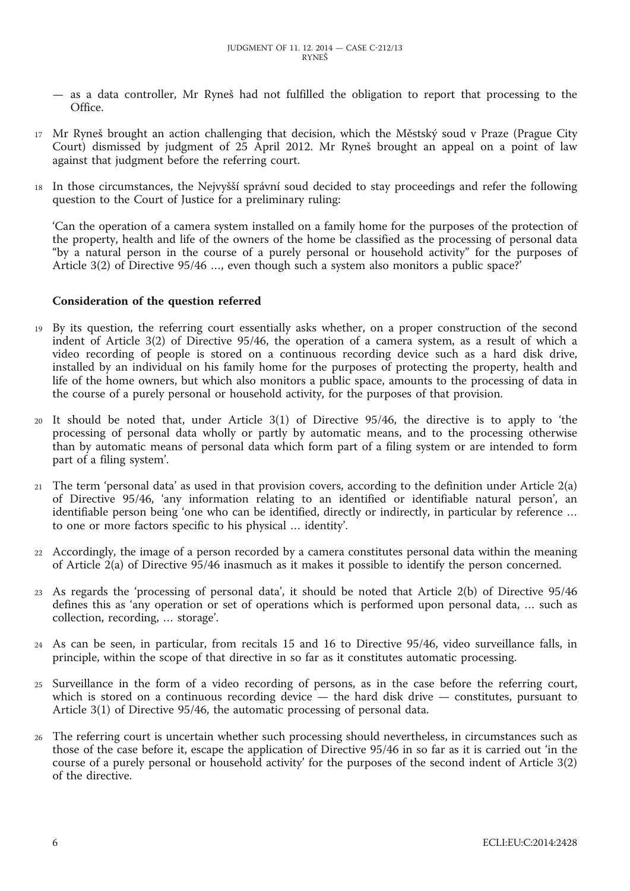- as a data controller, Mr Ryneš had not fulfilled the obligation to report that processing to the Office.
- 17 Mr Ryneš brought an action challenging that decision, which the Městský soud v Praze (Prague City Court) dismissed by judgment of 25 April 2012. Mr Ryneš brought an appeal on a point of law against that judgment before the referring court.
- 18 In those circumstances, the Nejvyšší správní soud decided to stay proceedings and refer the following question to the Court of Justice for a preliminary ruling:

'Can the operation of a camera system installed on a family home for the purposes of the protection of the property, health and life of the owners of the home be classified as the processing of personal data "by a natural person in the course of a purely personal or household activity" for the purposes of Article 3(2) of Directive 95/46 …, even though such a system also monitors a public space?'

# **Consideration of the question referred**

- 19 By its question, the referring court essentially asks whether, on a proper construction of the second indent of Article 3(2) of Directive 95/46, the operation of a camera system, as a result of which a video recording of people is stored on a continuous recording device such as a hard disk drive, installed by an individual on his family home for the purposes of protecting the property, health and life of the home owners, but which also monitors a public space, amounts to the processing of data in the course of a purely personal or household activity, for the purposes of that provision.
- 20 It should be noted that, under Article 3(1) of Directive 95/46, the directive is to apply to 'the processing of personal data wholly or partly by automatic means, and to the processing otherwise than by automatic means of personal data which form part of a filing system or are intended to form part of a filing system'.
- 21 The term 'personal data' as used in that provision covers, according to the definition under Article 2(a) of Directive 95/46, 'any information relating to an identified or identifiable natural person', an identifiable person being 'one who can be identified, directly or indirectly, in particular by reference … to one or more factors specific to his physical … identity'.
- 22 Accordingly, the image of a person recorded by a camera constitutes personal data within the meaning of Article 2(a) of Directive 95/46 inasmuch as it makes it possible to identify the person concerned.
- 23 As regards the 'processing of personal data', it should be noted that Article 2(b) of Directive 95/46 defines this as 'any operation or set of operations which is performed upon personal data, … such as collection, recording, … storage'.
- 24 As can be seen, in particular, from recitals 15 and 16 to Directive 95/46, video surveillance falls, in principle, within the scope of that directive in so far as it constitutes automatic processing.
- 25 Surveillance in the form of a video recording of persons, as in the case before the referring court, which is stored on a continuous recording device  $-$  the hard disk drive  $-$  constitutes, pursuant to Article 3(1) of Directive 95/46, the automatic processing of personal data.
- 26 The referring court is uncertain whether such processing should nevertheless, in circumstances such as those of the case before it, escape the application of Directive 95/46 in so far as it is carried out 'in the course of a purely personal or household activity' for the purposes of the second indent of Article 3(2) of the directive.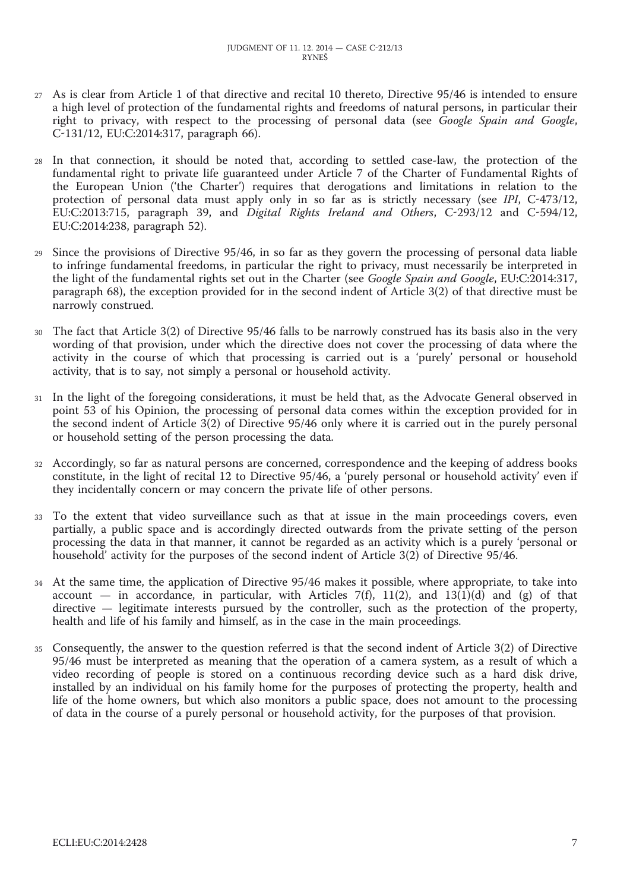- 27 As is clear from Article 1 of that directive and recital 10 thereto, Directive 95/46 is intended to ensure a high level of protection of the fundamental rights and freedoms of natural persons, in particular their right to privacy, with respect to the processing of personal data (see *Google Spain and Google*, C-131/12, EU:C:2014:317, paragraph 66).
- 28 In that connection, it should be noted that, according to settled case-law, the protection of the fundamental right to private life guaranteed under Article 7 of the Charter of Fundamental Rights of the European Union ('the Charter') requires that derogations and limitations in relation to the protection of personal data must apply only in so far as is strictly necessary (see *IPI*, C-473/12, EU:C:2013:715, paragraph 39, and *Digital Rights Ireland and Others*, C-293/12 and C-594/12, EU:C:2014:238, paragraph 52).
- 29 Since the provisions of Directive 95/46, in so far as they govern the processing of personal data liable to infringe fundamental freedoms, in particular the right to privacy, must necessarily be interpreted in the light of the fundamental rights set out in the Charter (see *Google Spain and Google*, EU:C:2014:317, paragraph 68), the exception provided for in the second indent of Article 3(2) of that directive must be narrowly construed.
- 30 The fact that Article 3(2) of Directive 95/46 falls to be narrowly construed has its basis also in the very wording of that provision, under which the directive does not cover the processing of data where the activity in the course of which that processing is carried out is a 'purely' personal or household activity, that is to say, not simply a personal or household activity.
- 31 In the light of the foregoing considerations, it must be held that, as the Advocate General observed in point 53 of his Opinion, the processing of personal data comes within the exception provided for in the second indent of Article  $3(2)$  of Directive 95/46 only where it is carried out in the purely personal or household setting of the person processing the data.
- 32 Accordingly, so far as natural persons are concerned, correspondence and the keeping of address books constitute, in the light of recital 12 to Directive 95/46, a 'purely personal or household activity' even if they incidentally concern or may concern the private life of other persons.
- 33 To the extent that video surveillance such as that at issue in the main proceedings covers, even partially, a public space and is accordingly directed outwards from the private setting of the person processing the data in that manner, it cannot be regarded as an activity which is a purely 'personal or household' activity for the purposes of the second indent of Article 3(2) of Directive 95/46.
- 34 At the same time, the application of Directive 95/46 makes it possible, where appropriate, to take into account  $-$  in accordance, in particular, with Articles 7(f), 11(2), and 13(1)(d) and (g) of that directive — legitimate interests pursued by the controller, such as the protection of the property, health and life of his family and himself, as in the case in the main proceedings.
- 35 Consequently, the answer to the question referred is that the second indent of Article 3(2) of Directive 95/46 must be interpreted as meaning that the operation of a camera system, as a result of which a video recording of people is stored on a continuous recording device such as a hard disk drive, installed by an individual on his family home for the purposes of protecting the property, health and life of the home owners, but which also monitors a public space, does not amount to the processing of data in the course of a purely personal or household activity, for the purposes of that provision.